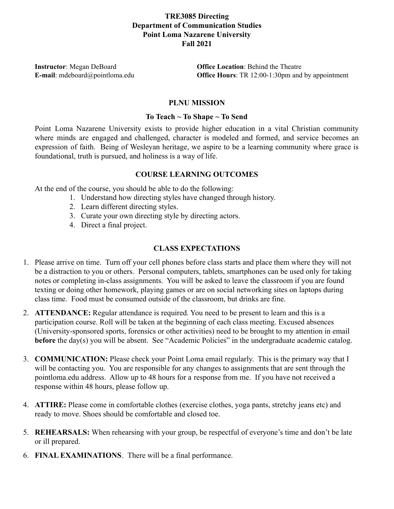# **TRE3085 Directing Department of Communication Studies Point Loma Nazarene University Fall 2021**

**Instructor**: Megan DeBoard **Office Location**: Behind the Theatre **E-mail**: mdeboard@pointloma.edu **Office Hours**: TR 12:00-1:30pm and by appointment

## **PLNU MISSION**

### **To Teach ~ To Shape ~ To Send**

Point Loma Nazarene University exists to provide higher education in a vital Christian community where minds are engaged and challenged, character is modeled and formed, and service becomes an expression of faith. Being of Wesleyan heritage, we aspire to be a learning community where grace is foundational, truth is pursued, and holiness is a way of life.

### **COURSE LEARNING OUTCOMES**

At the end of the course, you should be able to do the following:

- 1. Understand how directing styles have changed through history.
- 2. Learn different directing styles.
- 3. Curate your own directing style by directing actors.
- 4. Direct a final project.

## **CLASS EXPECTATIONS**

- 1. Please arrive on time. Turn off your cell phones before class starts and place them where they will not be a distraction to you or others. Personal computers, tablets, smartphones can be used only for taking notes or completing in-class assignments. You will be asked to leave the classroom if you are found texting or doing other homework, playing games or are on social networking sites on laptops during class time. Food must be consumed outside of the classroom, but drinks are fine.
- 2. **ATTENDANCE:** Regular attendance is required. You need to be present to learn and this is a participation course. Roll will be taken at the beginning of each class meeting. Excused absences (University-sponsored sports, forensics or other activities) need to be brought to my attention in email **before** the day(s) you will be absent. See "Academic Policies" in the undergraduate academic catalog.
- 3. **COMMUNICATION:** Please check your Point Loma email regularly. This is the primary way that I will be contacting you. You are responsible for any changes to assignments that are sent through the pointloma.edu address. Allow up to 48 hours for a response from me. If you have not received a response within 48 hours, please follow up.
- 4. **ATTIRE:** Please come in comfortable clothes (exercise clothes, yoga pants, stretchy jeans etc) and ready to move. Shoes should be comfortable and closed toe.
- 5. **REHEARSALS:** When rehearsing with your group, be respectful of everyone's time and don't be late or ill prepared.
- 6. **FINAL EXAMINATIONS**. There will be a final performance.